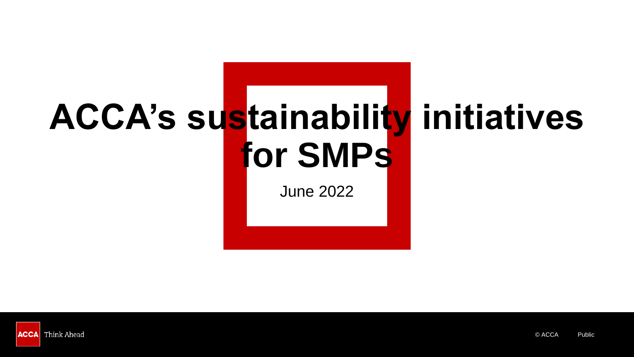## **ACCA's sustainability initiatives for SMPs**

June 2022

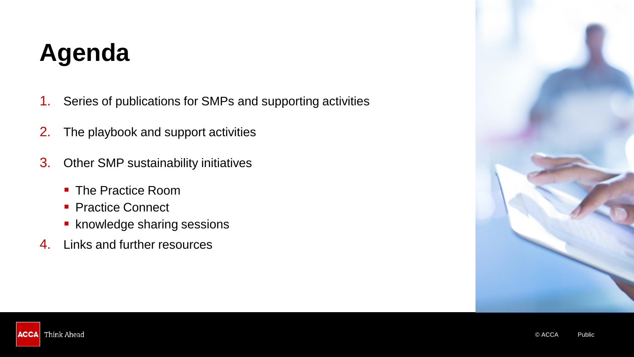#### **Agenda**

- 1. Series of publications for SMPs and supporting activities
- 2. The playbook and support activities
- 3. Other SMP sustainability initiatives
	- The Practice Room
	- Practice Connect
	- knowledge sharing sessions
- 4. Links and further resources



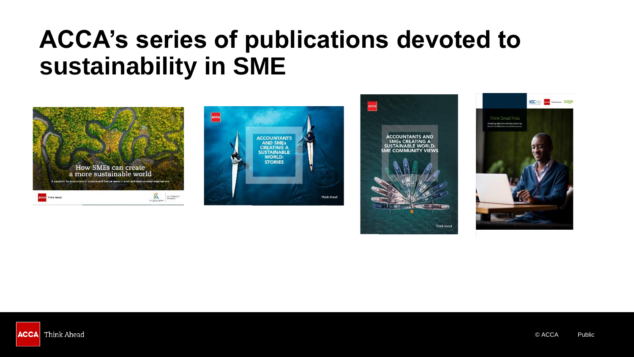#### **ACCA's series of publications devoted to sustainability in SME**









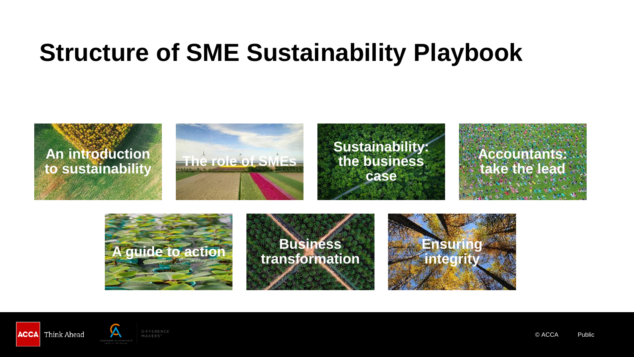#### **Structure of SME Sustainability Playbook**





© ACCA Public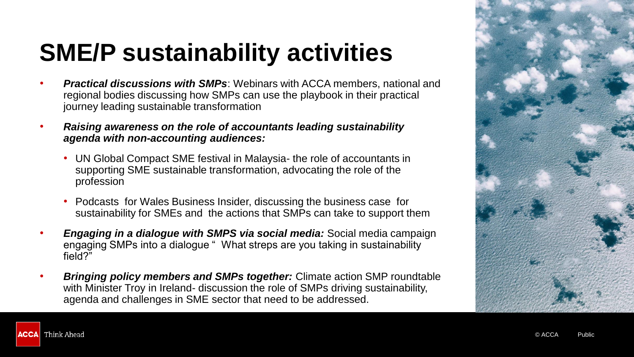### **SME/P sustainability activities**

- *Practical discussions with SMPs*: Webinars with ACCA members, national and regional bodies discussing how SMPs can use the playbook in their practical journey leading sustainable transformation
- *Raising awareness on the role of accountants leading sustainability agenda with non-accounting audiences:* 
	- UN Global Compact SME festival in Malaysia- the role of accountants in supporting SME sustainable transformation, advocating the role of the profession
	- Podcasts for Wales Business Insider, discussing the business case for sustainability for SMEs and the actions that SMPs can take to support them
- *Engaging in a dialogue with SMPS via social media:* Social media campaign engaging SMPs into a dialogue " What streps are you taking in sustainability field?"
- *Bringing policy members and SMPs together:* Climate action SMP roundtable with Minister Troy in Ireland- discussion the role of SMPs driving sustainability, agenda and challenges in SME sector that need to be addressed.



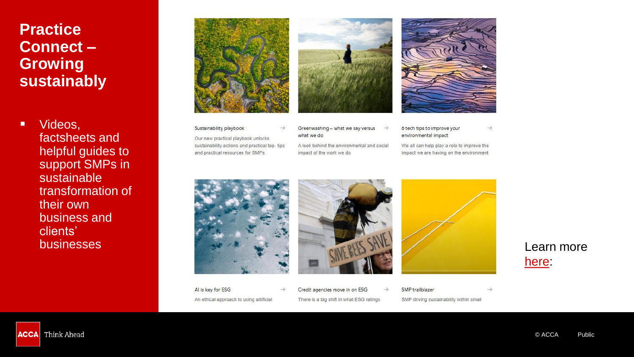#### **Practice Connect – Growing sustainably**

■ Videos, factsheets and helpful guides to support SMPs in sustainable transformation of their own business and clients'



 $\rightarrow$ 

 $\rightarrow$ 

Sustainability playbook

Our new practical playbook unlocks sustainability actions and practical top- tips

and practical resources for SMPs





#### Greenwashing - what we say versus  $\rightarrow$ what we do

A look behind the environmental and social impact of the work we do

6 tech tips to improve your environmental impact

We all can help play a role to improve the impact we are having on the environment

 $\rightarrow$ 







SMP trailblazer → SMP driving sustainability within small

#### [here:](https://www.accaglobal.com/gb/en/employer/employer-help-and-guidance/practice-connect/growing-your-practice/growing-sustainably.html)

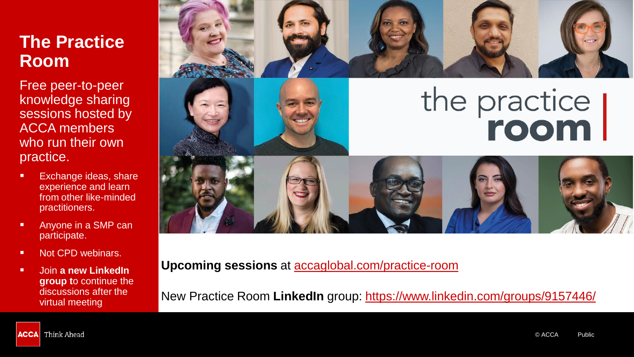#### **The Practice Room**

Free peer-to-peer knowledge sharing sessions hosted by ACCA members who run their own practice.

- Exchange ideas, share experience and learn from other like-minded practitioners.
- Anyone in a SMP can participate.
- Not CPD webinars.
- Join **a new LinkedIn group t**o continue the discussions after the virtual meeting





# the practice



**Upcoming sessions** at [accaglobal.com/practice-room](https://www.accaglobal.com/gb/en/employer/employer-help-and-guidance/practice-connect/the-practice-room.html)

New Practice Room **LinkedIn** group:<https://www.linkedin.com/groups/9157446/>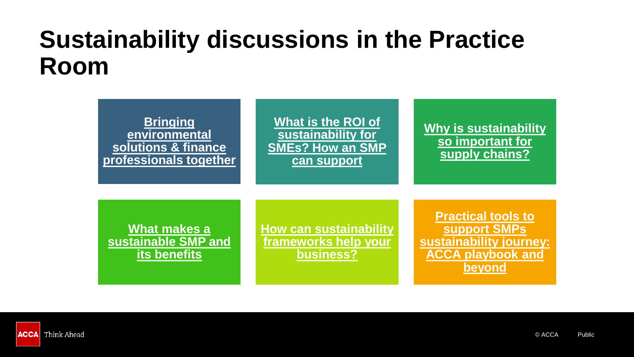#### **Sustainability discussions in the Practice Room**



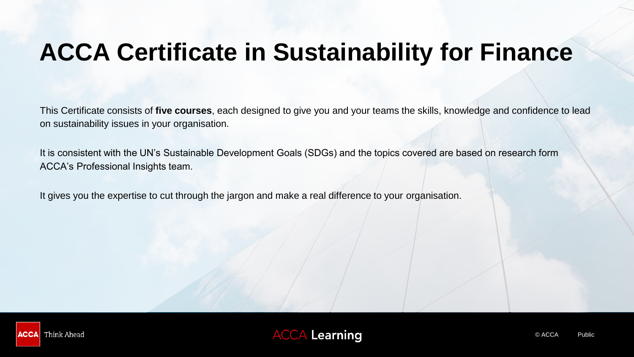#### **ACCA Certificate in Sustainability for Finance**

This Certificate consists of **five courses**, each designed to give you and your teams the skills, knowledge and confidence to lead on sustainability issues in your organisation.

It is consistent with the UN's Sustainable Development Goals (SDGs) and the topics covered are based on research form ACCA's Professional Insights team.

It gives you the expertise to cut through the jargon and make a real difference to your organisation.



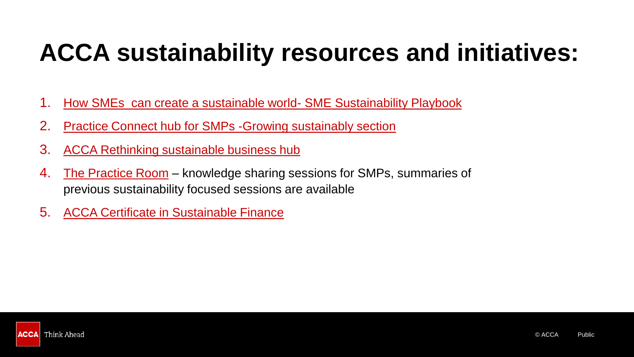#### **ACCA sustainability resources and initiatives:**

- 1. [How SMEs can create a sustainable world-](https://www.accaglobal.com/gb/en/professional-insights/global-profession/sme-suistainable-world.html) SME Sustainability Playbook
- 2. [Practice Connect hub for SMPs -Growing sustainably section](https://www.accaglobal.com/gb/en/employer/employer-help-and-guidance/practice-connect/growing-your-practice/growing-sustainably.html)
- 3. [ACCA Rethinking sustainable business hub](https://www.accaglobal.com/gb/en/member/sectors/sustainable-business.html)
- 4. [The Practice Room](https://www.accaglobal.com/gb/en/employer/employer-help-and-guidance/practice-connect/the-practice-room.html) knowledge sharing sessions for SMPs, summaries of previous sustainability focused sessions are available
- 5. [ACCA Certificate in Sustainable Finance](https://www.accaglobal.com/gb/en/member/discover/events/global/e-learning/sustainability/cert-sustainability-finance.html)